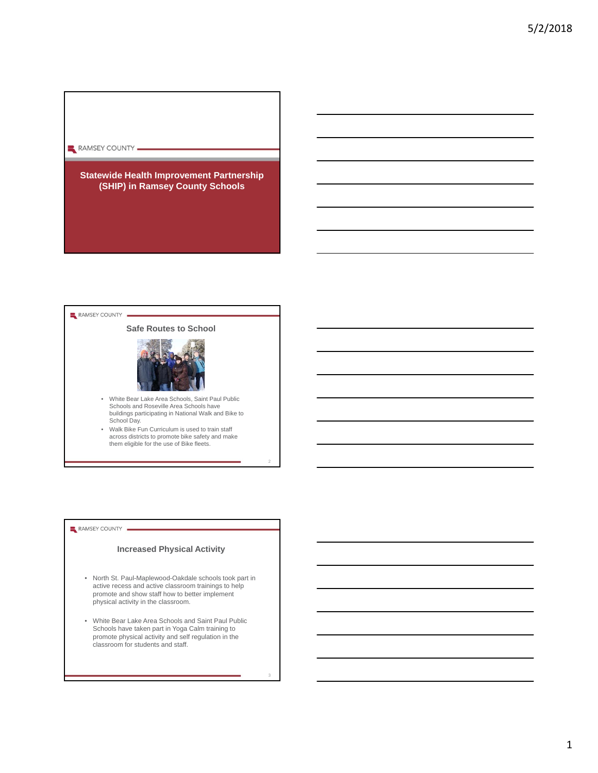### RAMSEY COUNTY .

# **Statewide Health Improvement Partnership (SHIP) in Ramsey County Schools**

#### RAMSEY COUNTY

### **Safe Routes to School**



- White Bear Lake Area Schools, Saint Paul Public Schools and Roseville Area Schools have buildings participating in National Walk and Bike to School Day.
- Walk Bike Fun Curriculum is used to train staff across districts to promote bike safety and make them eligible for the use of Bike fleets.

2

3

#### RAMSEY COUNTY

# **Increased Physical Activity**

- North St. Paul-Maplewood-Oakdale schools took part in active recess and active classroom trainings to help promote and show staff how to better implement physical activity in the classroom.
- White Bear Lake Area Schools and Saint Paul Public Schools have taken part in Yoga Calm training to promote physical activity and self regulation in the classroom for students and staff.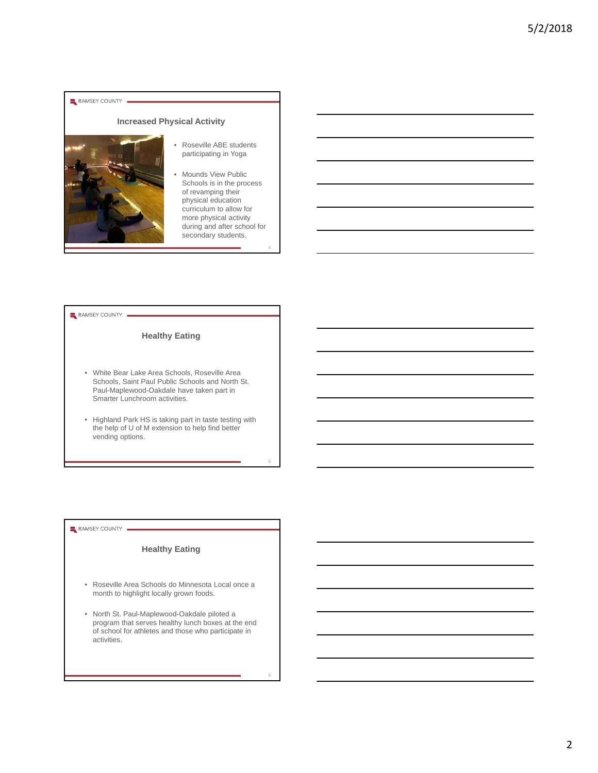#### RAMSEY COUNTY

# **Increased Physical Activity**



#### • Roseville ABE students participating in Yoga

Mounds View Public Schools is in the process of revamping their physical education curriculum to allow for more physical activity during and after school for secondary students.

4

5

6

#### RAMSEY COUNTY

# **Healthy Eating**

- White Bear Lake Area Schools, Roseville Area Schools, Saint Paul Public Schools and North St. Paul-Maplewood-Oakdale have taken part in Smarter Lunchroom activities.
- Highland Park HS is taking part in taste testing with the help of U of M extension to help find better vending options.

### RAMSEY COUNTY

# **Healthy Eating**

- Roseville Area Schools do Minnesota Local once a month to highlight locally grown foods.
- North St. Paul-Maplewood-Oakdale piloted a program that serves healthy lunch boxes at the end of school for athletes and those who participate in activities.